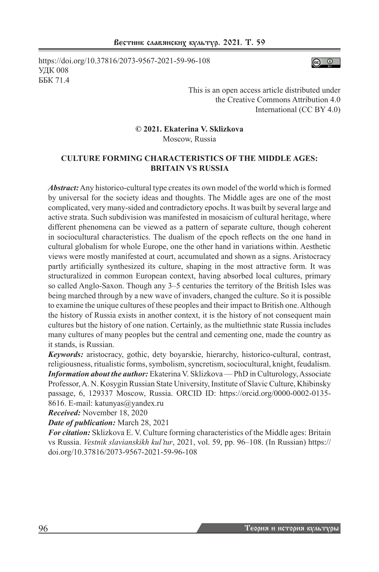https://doi.org/10.37816/2073-9567-2021-59-96-108 УДК 008 ББК 71.4



This is an open access article distributed under the Creative Commons Attribution 4.0 International (CC BY 4.0)

#### **© 2021. Ekaterina V. Sklizkova** Moscow, Russia

# **CULTURE FORMING CHARACTERISTICS OF THE MIDDLE AGES: BRITAIN VS RUSSIA**

*Abstract:* Any historico-cultural type creates its own model of the world which is formed by universal for the society ideas and thoughts. The Middle ages are one of the most complicated, very many-sided and contradictory epochs. It was built by several large and active strata. Such subdivision was manifested in mosaicism of cultural heritage, where different phenomena can be viewed as a pattern of separate culture, though coherent in sociocultural characteristics. The dualism of the epoch reflects on the one hand in cultural globalism for whole Europe, one the other hand in variations within. Aesthetic views were mostly manifested at court, accumulated and shown as a signs. Aristocracy partly artificially synthesized its culture, shaping in the most attractive form. It was structuralized in common European context, having absorbed local cultures, primary so called Anglo-Saxon. Though any 3–5 centuries the territory of the British Isles was being marched through by a new wave of invaders, changed the culture. So it is possible to examine the unique cultures of these peoples and their impact to British one. Although the history of Russia exists in another context, it is the history of not consequent main cultures but the history of one nation. Certainly, as the multiethnic state Russia includes many cultures of many peoples but the central and cementing one, made the country as it stands, is Russian.

*Keywords:* aristocracy, gothic, dety boyarskie, hierarchy, historico-cultural, contrast, religiousness, ritualistic forms, symbolism, syncretism, sociocultural, knight, feudalism. *Information about the author:* Ekaterina V. Sklizkova — PhD in Culturology, Associate Professor, A. N. Kosygin Russian State University, Institute of Slavic Culture, Khibinsky passage, 6, 129337 Moscow, Russia. ORCID ID: https://orcid.org/0000-0002-0135- 8616. E-mail: katunyas@yandex.ru

*Received:* November 18, 2020

*Date of publication:* March 28, 2021

*For citation:* Sklizkova E. V. Culture forming characteristics of the Middle ages: Britain vs Russia. *Vestnik slavianskikh kul'tur*, 2021, vol. 59, pp. 96–108. (In Russian) https:// doi.org/10.37816/2073-9567-2021-59-96-108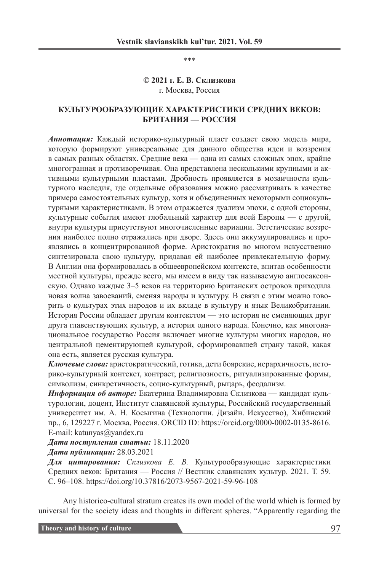\*\*\*

#### **© 2021 г. Е. В. Склизкова** г. Москва, Россия

## **КУЛЬТУРООБРАЗУЮЩИЕ ХАРАКТЕРИСТИКИ СРЕДНИХ ВЕКОВ: БРИТАНИЯ — РОССИЯ**

*Аннотация:* Каждый историко-культурный пласт создает свою модель мира, которую формируют универсальные для данного общества идеи и воззрения в самых разных областях. Средние века — одна из самых сложных эпох, крайне многогранная и противоречивая. Она представлена несколькими крупными и активными культурными пластами. Дробность проявляется в мозаичности культурного наследия, где отдельные образования можно рассматривать в качестве примера самостоятельных культур, хотя и объединенных некоторыми социокультурными характеристиками. В этом отражается дуализм эпохи, с одной стороны, культурные события имеют глобальный характер для всей Европы — с другой, внутри культуры присутствуют многочисленные вариации. Эстетические воззрения наиболее полно отражались при дворе. Здесь они аккумулировались и проявлялись в концентрированной форме. Аристократия во многом искусственно синтезировала свою культуру, придавая ей наиболее привлекательную форму. В Англии она формировалась в общеевропейском контексте, впитав особенности местной культуры, прежде всего, мы имеем в виду так называемую англосаксонскую. Однако каждые 3–5 веков на территорию Британских островов приходила новая волна завоеваний, сменяя народы и культуру. В связи с этим можно говорить о культурах этих народов и их вкладе в культуру и язык Великобритании. История России обладает другим контекстом — это история не сменяющих друг друга главенствующих культур, а история одного народа. Конечно, как многонациональное государство Россия включает многие культуры многих народов, но центральной цементирующей культурой, сформировавшей страну такой, какая она есть, является русская культура.

*Ключевые слова:* аристократический, готика, дети боярские, иерархичность, историко-культурный контекст, контраст, религиозность, ритуализированные формы, символизм, синкретичность, социо-культурный, рыцарь, феодализм.

*Информация об авторе:* Екатерина Владимировна Склизкова — кандидат культурологии, доцент, Институт славянской культуры, Российский государственный университет им. А. Н. Косыгина (Технологии. Дизайн. Искусство), Хибинский пр., 6, 129227 г. Москва, Россия. ORCID ID: https://orcid.org/0000-0002-0135-8616. E-mail: katunyas@yandex.ru

*Дата поступления статьи:* 18.11.2020

*Дата публикации:* 28.03.2021

*Для цитирования: Склизкова Е. В.* Культурообразующие характеристики Средних веков: Британия — Россия // Вестник славянских культур. 2021. Т. 59. С. 96–108. https://doi.org/10.37816/2073-9567-2021-59-96-108

Any historico-cultural stratum creates its own model of the world which is formed by universal for the society ideas and thoughts in different spheres. "Apparently regarding the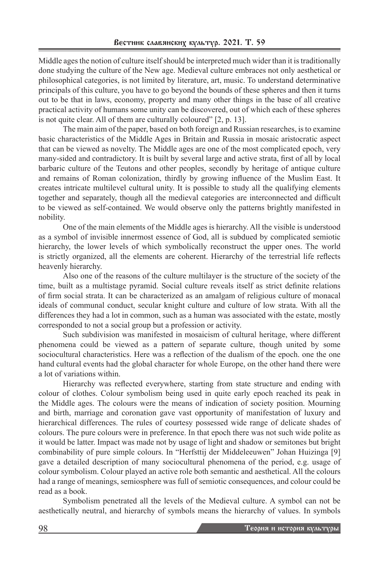Middle ages the notion of culture itself should be interpreted much wider than it is traditionally done studying the culture of the New age. Medieval culture embraces not only aesthetical or philosophical categories, is not limited by literature, art, music. To understand determinative principals of this culture, you have to go beyond the bounds of these spheres and then it turns out to be that in laws, economy, property and many other things in the base of all creative practical activity of humans some unity can be discovered, out of which each of these spheres is not quite clear. All of them are culturally coloured"  $[2, p. 13]$ .

The main aim of the paper, based on both foreign and Russian researches, is to examine basic characteristics of the Middle Ages in Britain and Russia in mosaic aristocratic aspect that can be viewed as novelty. The Middle ages are one of the most complicated epoch, very many-sided and contradictory. It is built by several large and active strata, first of all by local barbaric culture of the Teutons and other peoples, secondly by heritage of antique culture and remains of Roman colonization, thirdly by growing influence of the Muslim East. It creates intricate multilevel cultural unity. It is possible to study all the qualifying elements together and separately, though all the medieval categories are interconnected and difficult to be viewed as self-contained. We would observe only the patterns brightly manifested in nobility.

One of the main elements of the Middle ages is hierarchy. All the visible is understood as a symbol of invisible innermost essence of God, all is subdued by complicated semiotic hierarchy, the lower levels of which symbolically reconstruct the upper ones. The world is strictly organized, all the elements are coherent. Hierarchy of the terrestrial life reflects heavenly hierarchy.

Also one of the reasons of the culture multilayer is the structure of the society of the time, built as a multistage pyramid. Social culture reveals itself as strict definite relations of firm social strata. It can be characterized as an amalgam of religious culture of monacal ideals of communal conduct, secular knight culture and culture of low strata. With all the differences they had a lot in common, such as a human was associated with the estate, mostly corresponded to not a social group but a profession or activity.

Such subdivision was manifested in mosaicism of cultural heritage, where different phenomena could be viewed as a pattern of separate culture, though united by some sociocultural characteristics. Here was a reflection of the dualism of the epoch. one the one hand cultural events had the global character for whole Europe, on the other hand there were a lot of variations within.

Hierarchy was reflected everywhere, starting from state structure and ending with colour of clothes. Colour symbolism being used in quite early epoch reached its peak in the Middle ages. The colours were the means of indication of society position. Mourning and birth, marriage and coronation gave vast opportunity of manifestation of luxury and hierarchical differences. The rules of courtesy possessed wide range of delicate shades of colours. The pure colours were in preference. In that epoch there was not such wide polite as it would be latter. Impact was made not by usage of light and shadow or semitones but bright combinability of pure simple colours. In "Herfsttij der Middeleeuwen" Johan Huizinga [9] gave a detailed description of many sociocultural phenomena of the period, e.g. usage of colour symbolism. Colour played an active role both semantic and aesthetical. All the colours had a range of meanings, semiosphere was full of semiotic consequences, and colour could be read as a book.

Symbolism penetrated all the levels of the Medieval culture. A symbol can not be aesthetically neutral, and hierarchy of symbols means the hierarchy of values. In symbols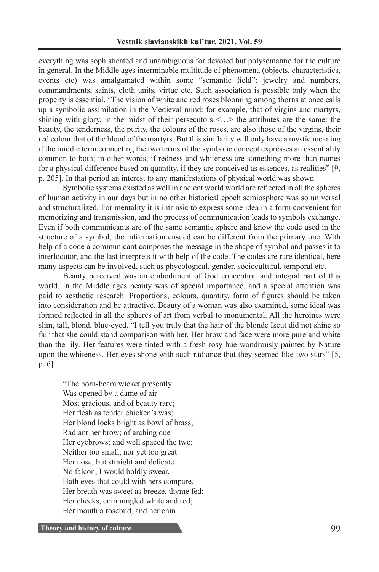everything was sophisticated and unambiguous for devoted but polysemantic for the culture in general. In the Middle ages interminable multitude of phenomena (objects, characteristics, events etc) was amalgamated within some "semantic field": jewelry and numbers, commandments, saints, cloth units, virtue etc. Such association is possible only when the property is essential. "The vision of white and red roses blooming among thorns at once calls up a symbolic assimilation in the Medieval mind: for example, that of virgins and martyrs, shining with glory, in the midst of their persecutors  $\langle \cdot, \cdot \rangle$  the attributes are the same: the beauty, the tenderness, the purity, the colours of the roses, are also those of the virgins, their red colour that of the blood of the martyrs. But this similarity will only have a mystic meaning if the middle term connecting the two terms of the symbolic concept expresses an essentiality common to both; in other words, if redness and whiteness are something more than names for a physical difference based on quantity, if they are conceived as essences, as realities" [9, p. 205]. In that period an interest to any manifestations of physical world was shown.

Symbolic systems existed as well in ancient world world are reflected in all the spheres of human activity in our days but in no other historical epoch semiosphere was so universal and structuralized. For mentality it is intrinsic to express some idea in a form convenient for memorizing and transmission, and the process of communication leads to symbols exchange. Even if both communicants are of the same semantic sphere and know the code used in the structure of a symbol, the information ensued can be different from the primary one. With help of a code a communicant composes the message in the shape of symbol and passes it to interlocutor, and the last interprets it with help of the code. The codes are rare identical, here many aspects can be involved, such as phycological, gender, sociocultural, temporal etc.

Beauty perceived was an embodiment of God conception and integral part of this world. In the Middle ages beauty was of special importance, and a special attention was paid to aesthetic research. Proportions, colours, quantity, form of figures should be taken into consideration and be attractive. Beauty of a woman was also examined, some ideal was formed reflected in all the spheres of art from verbal to monumental. All the heroines were slim, tall, blond, blue-eyed. "I tell you truly that the hair of the blonde Iseut did not shine so fair that she could stand comparison with her. Her brow and face were more pure and white than the lily. Her features were tinted with a fresh rosy hue wondrously painted by Nature upon the whiteness. Her eyes shone with such radiance that they seemed like two stars" [5, p. 6].

"The horn-beam wicket presently Was opened by a dame of air Most gracious, and of beauty rare; Her flesh as tender chicken's was; Her blond locks bright as bowl of brass; Radiant her brow; of arching due Her eyebrows; and well spaced the two; Neither too small, nor yet too great Her nose, but straight and delicate. No falcon, I would boldly swear, Hath eyes that could with hers compare. Her breath was sweet as breeze, thyme fed; Her cheeks, commingled white and red; Her mouth a rosebud, and her chin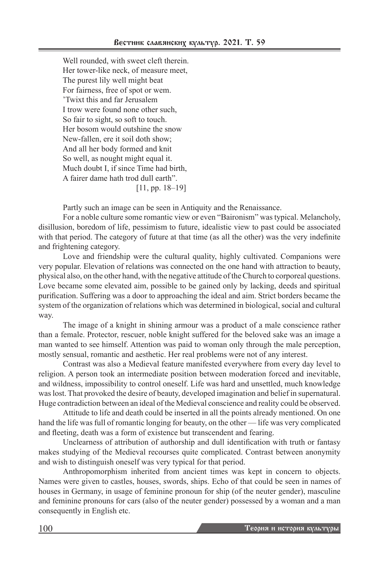Well rounded, with sweet cleft therein. Her tower-like neck, of measure meet, The purest lily well might beat For fairness, free of spot or wem. 'Twixt this and far Jerusalem I trow were found none other such, So fair to sight, so soft to touch. Her bosom would outshine the snow New-fallen, ere it soil doth show; And all her body formed and knit So well, as nought might equal it. Much doubt I, if since Time had birth, A fairer dame hath trod dull earth". [11, pp. 18–19]

Partly such an image can be seen in Antiquity and the Renaissance.

For a noble culture some romantic view or even "Baironism" was typical. Melancholy, disillusion, boredom of life, pessimism to future, idealistic view to past could be associated with that period. The category of future at that time (as all the other) was the very indefinite and frightening category.

Love and friendship were the cultural quality, highly cultivated. Сompanions were very popular. Elevation of relations was connected on the one hand with attraction to beauty, physical also, on the other hand, with the negative attitude of the Church to corporeal questions. Love became some elevated aim, possible to be gained only by lacking, deeds and spiritual purification. Suffering was a door to approaching the ideal and aim. Strict borders became the system of the organization of relations which was determined in biological, social and cultural way.

The image of a knight in shining armour was a product of a male conscience rather than a female. Protector, rescuer, noble knight suffered for the beloved sake was an image a man wanted to see himself. Attention was paid to woman only through the male perception, mostly sensual, romantic and aesthetic. Her real problems were not of any interest.

Contrast was also a Medieval feature manifested everywhere from every day level to religion. A person took an intermediate position between moderation forced and inevitable, and wildness, impossibility to control oneself. Life was hard and unsettled, much knowledge was lost. That provoked the desire of beauty, developed imagination and belief in supernatural. Huge contradiction between an ideal of the Medieval conscience and reality could be observed.

Attitude to life and death could be inserted in all the points already mentioned. On one hand the life was full of romantic longing for beauty, on the other — life was very complicated and fleeting, death was a form of existence but transcendent and fearing.

Unclearness of attribution of authorship and dull identification with truth or fantasy makes studying of the Medieval recourses quite complicated. Contrast between anonymity and wish to distinguish oneself was very typical for that period.

Anthropomorphism inherited from ancient times was kept in concern to objects. Names were given to castles, houses, swords, ships. Echo of that could be seen in names of houses in Germany, in usage of feminine pronoun for ship (of the neuter gender), masculine and feminine pronouns for cars (also of the neuter gender) possessed by a woman and a man consequently in English etc.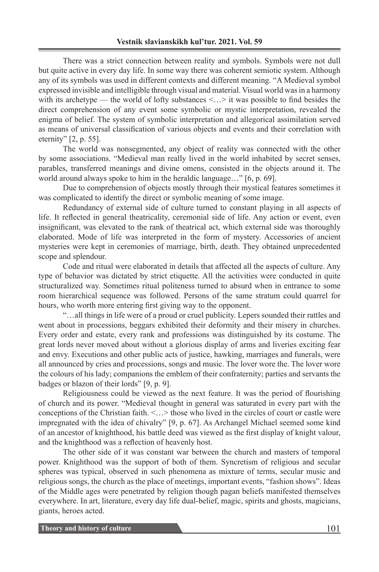There was a strict connection between reality and symbols. Symbols were not dull but quite active in every day life. In some way there was coherent semiotic system. Although any of its symbols was used in different contexts and different meaning. "A Medieval symbol expressed invisible and intelligible through visual and material. Visual world was in a harmony with its archetype — the world of lofty substances  $\langle \dots \rangle$  it was possible to find besides the direct comprehension of any event some symbolic or mystic interpretation, revealed the enigma of belief. The system of symbolic interpretation and allegorical assimilation served as means of universal classification of various objects and events and their correlation with eternity" [2, p. 55].

The world was nonsegmented, any object of reality was connected with the other by some associations. "Medieval man really lived in the world inhabited by secret senses, parables, transferred meanings and divine omens, consisted in the objects around it. The world around always spoke to him in the heraldic language…" [6, p. 69].

Due to comprehension of objects mostly through their mystical features sometimes it was complicated to identify the direct or symbolic meaning of some image.

Redundancy of external side of culture turned to constant playing in all aspects of life. It reflected in general theatricality, ceremonial side of life. Any action or event, even insignificant, was elevated to the rank of theatrical act, which external side was thoroughly elaborated. Mode of life was interpreted in the form of mystery. Accessories of ancient mysteries were kept in ceremonies of marriage, birth, death. They obtained unprecedented scope and splendour.

Code and ritual were elaborated in details that affected all the aspects of culture. Any type of behavior was dictated by strict etiquette. All the activities were conducted in quite structuralized way. Sometimes ritual politeness turned to absurd when in entrance to some room hierarchical sequence was followed. Persons of the same stratum could quarrel for hours, who worth more entering first giving way to the opponent.

"…all things in life were of a proud or cruel publicity. Lepers sounded their rattles and went about in processions, beggars exhibited their deformity and their misery in churches. Every order and estate, every rank and professions was distinguished by its costume. The great lords never moved about without a glorious display of arms and liveries exciting fear and envy. Executions and other public acts of justice, hawking, marriages and funerals, were all announced by cries and processions, songs and music. The lover wore the. The lover wore the colours of his lady; companions the emblem of their confraternity; parties and servants the badges or blazon of their lords" [9, p. 9].

Religiousness could be viewed as the next feature. It was the period of flourishing of church and its power. "Medieval thought in general was saturated in every part with the conceptions of the Christian faith. <…> those who lived in the circles of court or castle were impregnated with the idea of chivalry" [9, p. 67]. As Archangel Michael seemed some kind of an ancestor of knighthood, his battle deed was viewed as the first display of knight valour, and the knighthood was a reflection of heavenly host.

The other side of it was constant war between the church and masters of temporal power. Knighthood was the support of both of them. Syncretism of religious and secular spheres was typical, observed in such phenomena as mixture of terms, secular music and religious songs, the church as the place of meetings, important events, "fashion shows". Ideas of the Middle ages were penetrated by religion though pagan beliefs manifested themselves everywhere. In art, literature, every day life dual-belief, magic, spirits and ghosts, magicians, giants, heroes acted.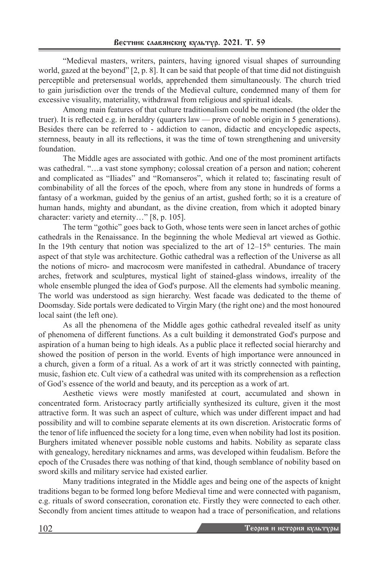"Medieval masters, writers, painters, having ignored visual shapes of surrounding world, gazed at the beyond" [2, p. 8]. It can be said that people of that time did not distinguish perceptible and pretersensual worlds, apprehended them simultaneously. The church tried to gain jurisdiction over the trends of the Medieval culture, condemned many of them for excessive visuality, materiality, withdrawal from religious and spiritual ideals.

Among main features of that culture traditionalism could be mentioned (the older the truer). It is reflected e.g. in heraldry (quarters law — prove of noble origin in 5 generations). Besides there can be referred to - addiction to canon, didactic and encyclopedic aspects, sternness, beauty in all its reflections, it was the time of town strengthening and university foundation.

The Middle ages are associated with gothic. And one of the most prominent artifacts was cathedral. "…a vast stone symphony; colossal creation of a person and nation; coherent and complicated as "Iliades" and "Romanseros", which it related to; fascinating result of combinability of all the forces of the epoch, where from any stone in hundreds of forms a fantasy of a workman, guided by the genius of an artist, gushed forth; so it is a creature of human hands, mighty and abundant, as the divine creation, from which it adopted binary character: variety and eternity…" [8, p. 105].

The term "gothic" goes back to Goth, whose tents were seen in lancet arches of gothic cathedrals in the Renaissance. In the beginning the whole Medieval art viewed as Gothic. In the 19th century that notion was specialized to the art of  $12-15<sup>th</sup>$  centuries. The main aspect of that style was architecture. Gothic cathedral was a reflection of the Universe as all the notions of micro- and macrocosm were manifested in cathedral. Abundance of tracery arches, fretwork and sculptures, mystical light of stained-glass windows, irreality of the whole ensemble plunged the idea of God's purpose. All the elements had symbolic meaning. The world was understood as sign hierarchy. West facade was dedicated to the theme of Doomsday. Side portals were dedicated to Virgin Mary (the right one) and the most honoured local saint (the left one).

As all the phenomena of the Middle ages gothic cathedral revealed itself as unity of phenomena of different functions. As a cult building it demonstrated God's purpose and aspiration of a human being to high ideals. As a public place it reflected social hierarchy and showed the position of person in the world. Events of high importance were announced in a church, given a form of a ritual. As a work of art it was strictly connected with painting, music, fashion etc. Cult view of a cathedral was united with its comprehension as a reflection of God's essence of the world and beauty, and its perception as a work of art.

Aesthetic views were mostly manifested at court, accumulated and shown in concentrated form. Aristocracy partly artificially synthesized its culture, given it the most attractive form. It was such an aspect of culture, which was under different impact and had possibility and will to combine separate elements at its own discretion. Aristocratic forms of the tenor of life influenced the society for a long time, even when nobility had lost its position. Burghers imitated whenever possible noble customs and habits. Nobility as separate class with genealogy, hereditary nicknames and arms, was developed within feudalism. Before the epoch of the Crusades there was nothing of that kind, though semblance of nobility based on sword skills and military service had existed earlier.

Many traditions integrated in the Middle ages and being one of the aspects of knight traditions began to be formed long before Medieval time and were connected with paganism, e.g. rituals of sword consecration, coronation etc. Firstly they were connected to each other. Secondly from ancient times attitude to weapon had a trace of personification, and relations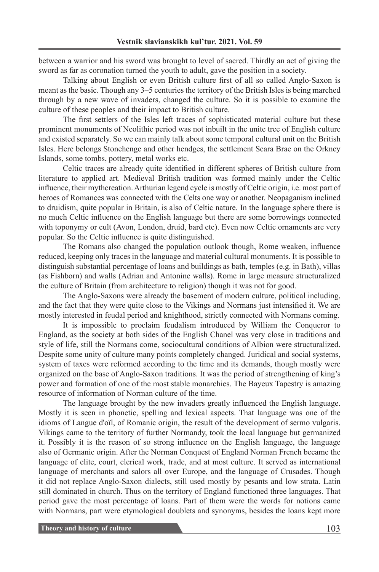between a warrior and his sword was brought to level of sacred. Thirdly an act of giving the sword as far as coronation turned the youth to adult, gave the position in a society.

Talking about English or even British culture first of all so called Anglo-Saxon is meant as the basic. Though any 3–5 centuries the territory of the British Isles is being marched through by a new wave of invaders, changed the culture. So it is possible to examine the culture of these peoples and their impact to British culture.

The first settlers of the Isles left traces of sophisticated material culture but these prominent monuments of Neolithic period was not inbuilt in the unite tree of English culture and existed separately. So we can mainly talk about some temporal cultural unit on the British Isles. Here belongs Stonehenge and other hendges, the settlement Scara Brae on the Orkney Islands, some tombs, pottery, metal works etc.

Celtic traces are already quite identified in different spheres of British culture from literature to applied art. Medieval British tradition was formed mainly under the Celtic influence, their mythcreation. Arthurian legend cycle is mostly of Celtic origin, i.e. most part of heroes of Romances was connected with the Celts one way or another. Neopaganism inclined to druidism, quite popular in Britain, is also of Celtic nature. In the language sphere there is no much Celtic influence on the English language but there are some borrowings connected with toponymy or cult (Avon, London, druid, bard etc). Even now Celtic ornaments are very popular. So the Celtic influence is quite distinguished.

The Romans also changed the population outlook though, Rome weaken, influence reduced, keeping only traces in the language and material cultural monuments. It is possible to distinguish substantial percentage of loans and buildings as bath, temples (e.g. in Bath), villas (as Fishborn) and walls (Adrian and Antonine walls). Rome in large measure structuralized the culture of Britain (from architecture to religion) though it was not for good.

The Anglo-Saxons were already the basement of modern culture, political including, and the fact that they were quite close to the Vikings and Normans just intensified it. We are mostly interested in feudal period and knighthood, strictly connected with Normans coming.

It is impossible to proclaim feudalism introduced by William the Conqueror to England, as the society at both sides of the English Chanel was very close in traditions and style of life, still the Normans come, sociocultural conditions of Albion were structuralized. Despite some unity of culture many points completely changed. Juridical and social systems, system of taxes were reformed according to the time and its demands, though mostly were organized on the base of Anglo-Saxon traditions. It was the period of strengthening of king's power and formation of one of the most stable monarchies. The Bayeux Tapestry is amazing resource of information of Norman culture of the time.

The language brought by the new invaders greatly influenced the English language. Mostly it is seen in phonetic, spelling and lexical aspects. That language was one of the idioms of Langue d'oïl, of Romanic origin, the result of the development of sermo vulgaris. Vikings came to the territory of further Normandy, took the local language but germanized it. Possibly it is the reason of so strong influence on the English language, the language also of Germanic origin. After the Norman Conquest of England Norman French became the language of elite, court, clerical work, trade, and at most culture. It served as international language of merchants and salors all over Europe, and the language of Crusades. Though it did not replace Anglo-Saxon dialects, still used mostly by pesants and low strata. Latin still dominated in church. Thus on the territory of England functioned three languages. That period gave the most percentage of loans. Part of them were the words for notions came with Normans, part were etymological doublets and synonyms, besides the loans kept more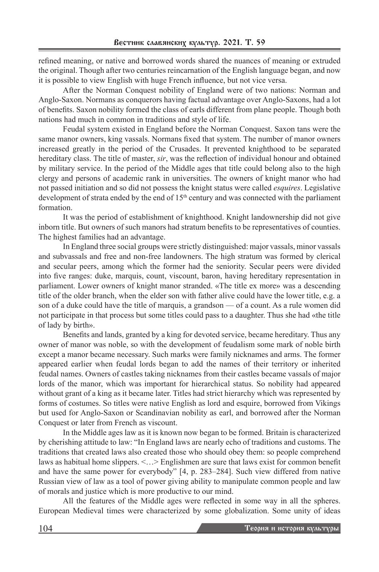refined meaning, or native and borrowed words shared the nuances of meaning or extruded the original. Though after two centuries reincarnation of the English language began, and now it is possible to view English with huge French influence, but not vice versa.

After the Norman Conquest nobility of England were of two nations: Norman and Anglo-Saxon. Normans as conquerors having factual advantage over Anglo-Saxons, had a lot of benefits. Saxon nobility formed the class of earls different from plane people. Though both nations had much in common in traditions and style of life.

Feudal system existed in England before the Norman Conquest. Saxon tans were the same manor owners, king vassals. Normans fixed that system. The number of manor owners increased greatly in the period of the Crusades. It prevented knighthood to be separated hereditary class. The title of master, *sir*, was the reflection of individual honour and obtained by military service. In the period of the Middle ages that title could belong also to the high clergy and persons of academic rank in universities. The owners of knight manor who had not passed initiation and so did not possess the knight status were called *esquires*. Legislative development of strata ended by the end of  $15<sup>th</sup>$  century and was connected with the parliament formation.

It was the period of establishment of knighthood. Knight landownership did not give inborn title. But owners of such manors had stratum benefits to be representatives of counties. The highest families had an advantage.

In England three social groups were strictly distinguished: major vassals, minor vassals and subvassals and free and non-free landowners. The high stratum was formed by clerical and secular peers, among which the former had the seniority. Secular peers were divided into five ranges: duke, marquis, count, viscount, baron, having hereditary representation in parliament. Lower owners of knight manor stranded. «The title ex more» was a descending title of the older branch, when the elder son with father alive could have the lower title, e.g. a son of a duke could have the title of marquis, a grandson — of a count. As a rule women did not participate in that process but some titles could pass to a daughter. Thus she had «the title of lady by birth».

Benefits and lands, granted by a king for devoted service, became hereditary. Thus any owner of manor was noble, so with the development of feudalism some mark of noble birth except a manor became necessary. Such marks were family nicknames and arms. The former appeared earlier when feudal lords began to add the names of their territory or inherited feudal names. Owners of castles taking nicknames from their castles became vassals of major lords of the manor, which was important for hierarchical status. So nobility had appeared without grant of a king as it became later. Titles had strict hierarchy which was represented by forms of costumes. So titles were native English as lord and esquire, borrowed from Vikings but used for Anglo-Saxon or Scandinavian nobility as earl, and borrowed after the Norman Conquest or later from French as viscount.

In the Middle ages law as it is known now began to be formed. Britain is characterized by cherishing attitude to law: "In England laws are nearly echo of traditions and customs. The traditions that created laws also created those who should obey them: so people comprehend laws as habitual home slippers. <…> Englishmen are sure that laws exist for common benefit and have the same power for everybody" [4, p. 283–284]. Such view differed from native Russian view of law as a tool of power giving ability to manipulate common people and law of morals and justice which is more productive to our mind.

All the features of the Middle ages were reflected in some way in all the spheres. European Medieval times were characterized by some globalization. Some unity of ideas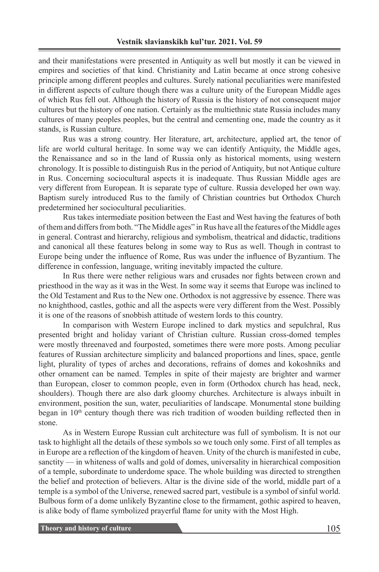and their manifestations were presented in Antiquity as well but mostly it can be viewed in empires and societies of that kind. Christianity and Latin became at once strong cohesive principle among different peoples and cultures. Surely national peculiarities were manifested in different aspects of culture though there was a culture unity of the European Middle ages of which Rus fell out. Although the history of Russia is the history of not consequent major cultures but the history of one nation. Certainly as the multiethnic state Russia includes many cultures of many peoples peoples, but the central and cementing one, made the country as it stands, is Russian culture.

Rus was a strong country. Her literature, art, architecture, applied art, the tenor of life are world cultural heritage. In some way we can identify Antiquity, the Middle ages, the Renaissance and so in the land of Russia only as historical moments, using western chronology. It is possible to distinguish Rus in the period of Antiquity, but not Antique culture in Rus. Concerning sociocultural aspects it is inadequate. Thus Russian Middle ages are very different from European. It is separate type of culture. Russia developed her own way. Baptism surely introduced Rus to the family of Christian countries but Orthodox Church predetermined her sociocultural peculiarities.

Rus takes intermediate position between the East and West having the features of both of them and differs from both. "The Middle ages" in Rus have all the features of the Middle ages in general. Contrast and hierarchy, religious and symbolism, theatrical and didactic, traditions and canonical all these features belong in some way to Rus as well. Though in contrast to Europe being under the influence of Rome, Rus was under the influence of Byzantium. The difference in confession, language, writing inevitably impacted the culture.

In Rus there were nether religious wars and crusades nor fights between crown and priesthood in the way as it was in the West. In some way it seems that Europe was inclined to the Old Testament and Rus to the New one. Orthodox is not aggressive by essence. There was no knighthood, castles, gothic and all the aspects were very different from the West. Possibly it is one of the reasons of snobbish attitude of western lords to this country.

In comparison with Western Europe inclined to dark mystics and sepulchral, Rus presented bright and holiday variant of Christian culture. Russian cross-domed temples were mostly threenaved and fourposted, sometimes there were more posts. Among peculiar features of Russian architecture simplicity and balanced proportions and lines, space, gentle light, plurality of types of arches and decorations, refrains of domes and kokoshniks and other ornament can be named. Temples in spite of their majesty are brighter and warmer than European, closer to common people, even in form (Orthodox church has head, neck, shoulders). Though there are also dark gloomy churches. Architecture is always inbuilt in environment, position the sun, water, peculiarities of landscape. Monumental stone building began in  $10<sup>th</sup>$  century though there was rich tradition of wooden building reflected then in stone.

As in Western Europe Russian cult architecture was full of symbolism. It is not our task to highlight all the details of these symbols so we touch only some. First of all temples as in Europe are a reflection of the kingdom of heaven. Unity of the church is manifested in cube, sanctity — in whiteness of walls and gold of domes, universality in hierarchical composition of a temple, subordinate to underdome space. The whole building was directed to strengthen the belief and protection of believers. Altar is the divine side of the world, middle part of a temple is a symbol of the Universe, renewed sacred part, vestibule is a symbol of sinful world. Bulbous form of a dome unlikely Byzantine close to the firmament, gothic aspired to heaven, is alike body of flame symbolized prayerful flame for unity with the Most High.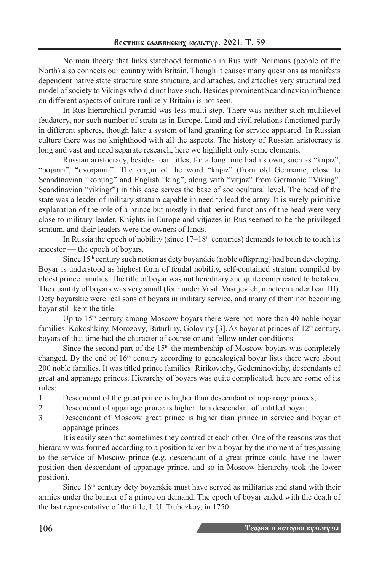Norman theory that links statehood formation in Rus with Normans (people of the North) also connects our country with Britain. Though it causes many questions as manifests dependent native state structure state structure, and attaches, and attaches very structuralized model of society to Vikings who did not have such. Besides prominent Scandinavian influence on different aspects of culture (unlikely Britain) is not seen.

In Rus hierarchical pyramid was less multi-step. There was neither such multilevel feudatory, nor such number of strata as in Europe. Land and civil relations functioned partly in different spheres, though later a system of land granting for service appeared. In Russian culture there was no knighthood with all the aspects. The history of Russian aristocracy is long and vast and need separate research, here we highlight only some elements.

Russian aristocracy, besides loan titles, for a long time had its own, such as "knjaz", "bojarin", "dvorjanin". The origin of the word "knjaz" (from old Germanic, close to Scandinavian "konung" and English "king", along with "vitjaz" from Germanic "Viking", Scandinavian "vikingr") in this case serves the base of sociocultural level. The head of the state was a leader of military stratum capable in need to lead the army. It is surely primitive explanation of the role of a prince but mostly in that period functions of the head were very close to military leader. Knights in Europe and vitjazes in Rus seemed to be the privileged stratum, and their leaders were the owners of lands.

In Russia the epoch of nobility (since  $17-18<sup>th</sup>$  centuries) demands to touch to touch its ancestor — the epoch of boyars.

Since 15<sup>th</sup> century such notion as dety boyarskie (noble offspring) had been developing. Boyar is understood as highest form of feudal nobility, self-contained stratum compiled by oldest prince families. The title of boyar was not hereditary and quite complicated to be taken. The quantity of boyars was very small (four under Vasili Vasiljevich, nineteen under Ivan III). Dety boyarskie were real sons of boyars in military service, and many of them not becoming boyar still kept the title.

Up to  $15<sup>th</sup>$  century among Moscow boyars there were not more than 40 noble boyar families: Kokoshkiny, Morozovy, Buturliny, Goloviny [3]. As boyar at princes of  $12<sup>th</sup>$  century, boyars of that time had the character of counselor and fellow under conditions.

Since the second part of the  $15<sup>th</sup>$  the membership of Moscow boyars was completely changed. By the end of  $16<sup>th</sup>$  century according to genealogical boyar lists there were about 200 noble families. It was titled prince families: Ririkovichy, Gedeminovichy, descendants of great and appanage princes. Hierarchy of boyars was quite complicated, here are some of its rules:

- 1 Descendant of the great prince is higher than descendant of appanage princes;
- 2 Descendant of appanage prince is higher than descendant of untitled boyar;
- 3 Descendant of Moscow great prince is higher than prince in service and boyar of appanage princes.

It is easily seen that sometimes they contradict each other. One of the reasons was that hierarchy was formed according to a position taken by a boyar by the moment of trespassing to the service of Moscow prince (e.g. descendant of a great prince could have the lower position then descendant of appanage prince, and so in Moscow hierarchy took the lower position).

Since 16<sup>th</sup> century dety boyarskie must have served as militaries and stand with their armies under the banner of a prince on demand. The epoch of boyar ended with the death of the last representative of the title, I. U. Trubezkoy, in 1750.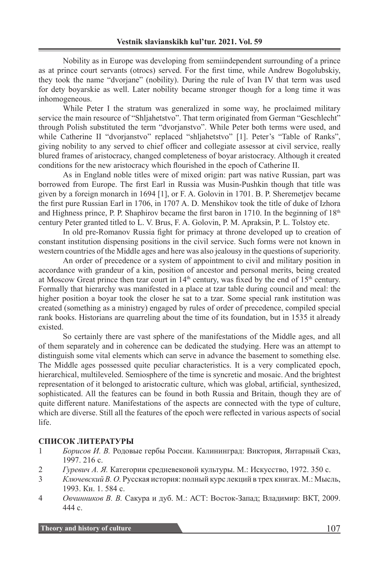Nobility as in Europe was developing from semiindependent surrounding of a prince as at prince court servants (otrocs) served. For the first time, while Andrew Bogolubskiy, they took the name "dvorjane" (nobility). During the rule of Ivan IV that term was used for dety boyarskie as well. Later nobility became stronger though for a long time it was inhomogeneous.

While Peter I the stratum was generalized in some way, he proclaimed military service the main resource of "Shljahetstvo". That term originated from German "Geschlecht" through Polish substituted the term "dvorjanstvo". While Peter both terms were used, and while Catherine II "dvorjanstvo" replaced "shljahetstvo" [1]. Peter's "Table of Ranks", giving nobility to any served to chief officer and collegiate assessor at civil service, really blured frames of aristocracy, changed completeness of boyar aristocracy. Although it created conditions for the new aristocracy which flourished in the epoch of Catherine II.

As in England noble titles were of mixed origin: part was native Russian, part was borrowed from Europe. The first Earl in Russia was Musin-Pushkin though that title was given by a foreign monarch in 1694 [1], or F. A. Golovin in 1701. B. P. Sheremetjev became the first pure Russian Earl in 1706, in 1707 A. D. Menshikov took the title of duke of Izhora and Highness prince, P. P. Shaphirov became the first baron in 1710. In the beginning of  $18<sup>th</sup>$ century Peter granted titled to L. V. Brus, F. A. Golovin, P. M. Apraksin, P. L. Tolstoy etc.

In old pre-Romanov Russia fight for primacy at throne developed up to creation of constant institution dispensing positions in the civil service. Such forms were not known in western countries of the Middle ages and here was also jealousy in the questions of superiority.

An order of precedence or a system of appointment to civil and military position in accordance with grandeur of a kin, position of ancestor and personal merits, being created at Moscow Great prince then tzar court in  $14<sup>th</sup>$  century, was fixed by the end of  $15<sup>th</sup>$  century. Formally that hierarchy was manifested in a place at tzar table during council and meal: the higher position a boyar took the closer he sat to a tzar. Some special rank institution was created (something as a ministry) engaged by rules of order of precedence, compiled special rank books. Historians are quarreling about the time of its foundation, but in 1535 it already existed.

So certainly there are vast sphere of the manifestations of the Middle ages, and all of them separately and in coherence can be dedicated the studying. Here was an attempt to distinguish some vital elements which can serve in advance the basement to something else. The Middle ages possessed quite peculiar characteristics. It is a very complicated epoch, hierarchical, multileveled. Semiosphere of the time is syncretic and mosaic. And the brightest representation of it belonged to aristocratic culture, which was global, artificial, synthesized, sophisticated. All the features can be found in both Russia and Britain, though they are of quite different nature. Manifestations of the aspects are connected with the type of culture, which are diverse. Still all the features of the epoch were reflected in various aspects of social life.

### **СПИСОК ЛИТЕРАТУРЫ**

- 1 *Борисов И. В.* Родовые гербы России. Калининград: Виктория, Янтарный Сказ, 1997. 216 c.
- 2 *Гуревич А. Я.* Категории средневековой культуры. М.: Искусство, 1972. 350 c.
- 3 *Ключевский В. О.* Русская история: полный курс лекций в трех книгах. М.: Мысль, 1993. Кн. 1. 584 c.
- 4 *Овчинников В. В.* Сакура и дуб. М.: АСТ: Восток-Запад; Владимир: ВКТ, 2009. 444 с.

**Theory and history of culture** 107